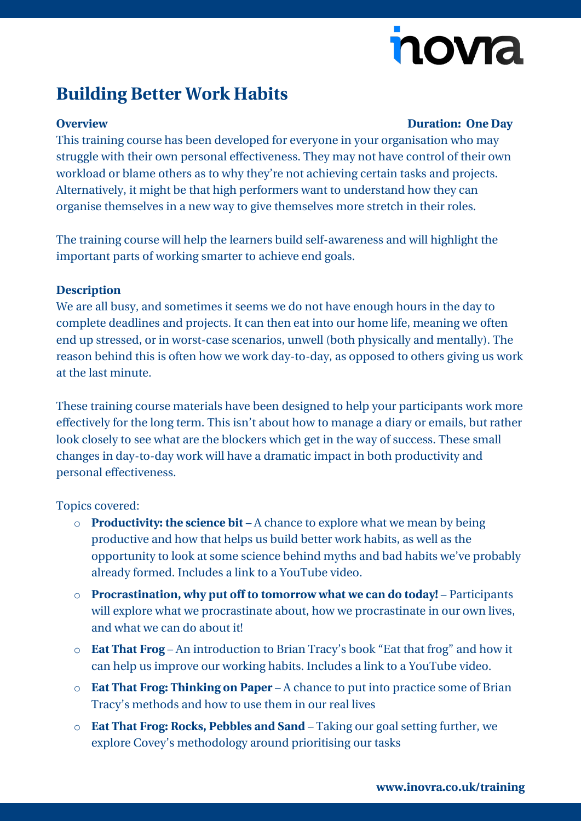# nova

## **Building Better Work Habits**

#### **Overview Duration: One Day**

This training course has been developed for everyone in your organisation who may struggle with their own personal effectiveness. They may not have control of their own workload or blame others as to why they're not achieving certain tasks and projects. Alternatively, it might be that high performers want to understand how they can organise themselves in a new way to give themselves more stretch in their roles.

The training course will help the learners build self-awareness and will highlight the important parts of working smarter to achieve end goals.

### **Description**

We are all busy, and sometimes it seems we do not have enough hours in the day to complete deadlines and projects. It can then eat into our home life, meaning we often end up stressed, or in worst-case scenarios, unwell (both physically and mentally). The reason behind this is often how we work day-to-day, as opposed to others giving us work at the last minute.

These training course materials have been designed to help your participants work more effectively for the long term. This isn't about how to manage a diary or emails, but rather look closely to see what are the blockers which get in the way of success. These small changes in day-to-day work will have a dramatic impact in both productivity and personal effectiveness.

Topics covered:

- o **Productivity: the science bit** A chance to explore what we mean by being productive and how that helps us build better work habits, as well as the opportunity to look at some science behind myths and bad habits we've probably already formed. Includes a link to a YouTube video.
- o **Procrastination, why put off to tomorrow what we can do today!**  Participants will explore what we procrastinate about, how we procrastinate in our own lives, and what we can do about it!
- o **Eat That Frog**  An introduction to Brian Tracy's book "Eat that frog" and how it can help us improve our working habits. Includes a link to a YouTube video.
- o **Eat That Frog: Thinking on Paper** A chance to put into practice some of Brian Tracy's methods and how to use them in our real lives
- o **Eat That Frog: Rocks, Pebbles and Sand** Taking our goal setting further, we explore Covey's methodology around prioritising our tasks